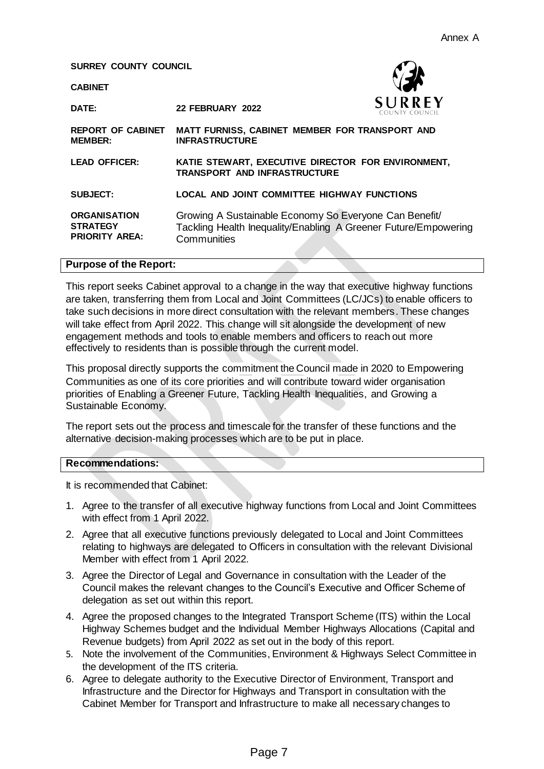**SURREY COUNTY COUNCIL**

**CABINET**



**DATE: 22 FEBRUARY 2022 REPORT OF CABINET MATT FURNISS, CABINET MEMBER FOR TRANSPORT AND MEMBER: INFRASTRUCTURE LEAD OFFICER: KATIE STEWART, EXECUTIVE DIRECTOR FOR ENVIRONMENT, TRANSPORT AND INFRASTRUCTURE SUBJECT: LOCAL AND JOINT COMMITTEE HIGHWAY FUNCTIONS ORGANISATION STRATEGY PRIORITY AREA:** Growing A Sustainable Economy So Everyone Can Benefit/ Tackling Health Inequality/Enabling A Greener Future/Empowering **Communities** 

#### **Purpose of the Report:**

This report seeks Cabinet approval to a change in the way that executive highway functions are taken, transferring them from Local and Joint Committees (LC/JCs) to enable officers to take such decisions in more direct consultation with the relevant members. These changes will take effect from April 2022. This change will sit alongside the development of new engagement methods and tools to enable members and officers to reach out more effectively to residents than is possible through the current model.

This proposal directly supports the commitment the Council made in 2020 to Empowering Communities as one of its core priorities and will contribute toward wider organisation priorities of Enabling a Greener Future, Tackling Health Inequalities, and Growing a Sustainable Economy.

The report sets out the process and timescale for the transfer of these functions and the alternative decision-making processes which are to be put in place.

#### **Recommendations:**

It is recommended that Cabinet:

- 1. Agree to the transfer of all executive highway functions from Local and Joint Committees with effect from 1 April 2022.
- 2. Agree that all executive functions previously delegated to Local and Joint Committees relating to highways are delegated to Officers in consultation with the relevant Divisional Member with effect from 1 April 2022.
- 3. Agree the Director of Legal and Governance in consultation with the Leader of the Council makes the relevant changes to the Council's Executive and Officer Scheme of delegation as set out within this report.
- 4. Agree the proposed changes to the Integrated Transport Scheme (ITS) within the Local Highway Schemes budget and the Individual Member Highways Allocations (Capital and Revenue budgets) from April 2022 as set out in the body of this report.
- 5. Note the involvement of the Communities, Environment & Highways Select Committee in the development of the ITS criteria.
- 6. Agree to delegate authority to the Executive Director of Environment, Transport and Infrastructure and the Director for Highways and Transport in consultation with the Cabinet Member for Transport and Infrastructure to make all necessary changes to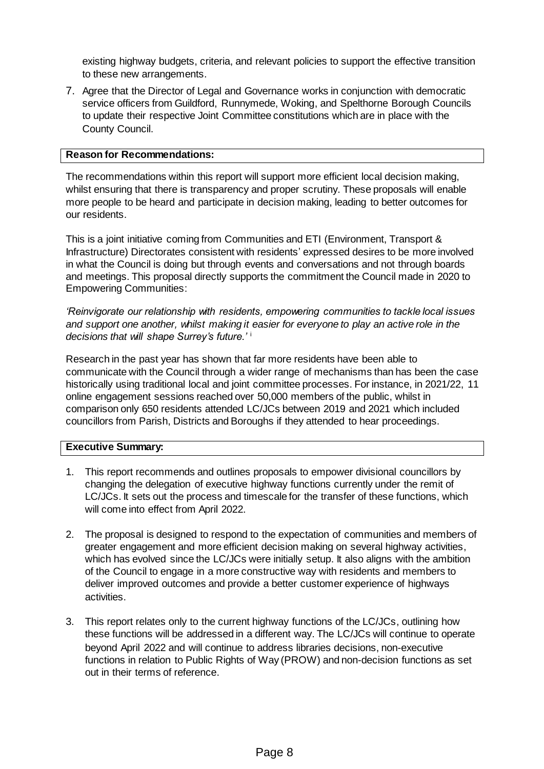existing highway budgets, criteria, and relevant policies to support the effective transition to these new arrangements.

7. Agree that the Director of Legal and Governance works in conjunction with democratic service officers from Guildford, Runnymede, Woking, and Spelthorne Borough Councils to update their respective Joint Committee constitutions which are in place with the County Council.

#### **Reason for Recommendations:**

The recommendations within this report will support more efficient local decision making, whilst ensuring that there is transparency and proper scrutiny. These proposals will enable more people to be heard and participate in decision making, leading to better outcomes for our residents.

This is a joint initiative coming from Communities and ETI (Environment, Transport & Infrastructure) Directorates consistent with residents' expressed desires to be more involved in what the Council is doing but through events and conversations and not through boards and meetings. This proposal directly supports the commitment the Council made in 2020 to Empowering Communities:

*'Reinvigorate our relationship with residents, empowering communities to tackle local issues and support one another, whilst making it easier for everyone to play an active role in the decisions that will shape Surrey's future.'* <sup>i</sup>

Research in the past year has shown that far more residents have been able to communicate with the Council through a wider range of mechanisms than has been the case historically using traditional local and joint committee processes. For instance, in 2021/22, 11 online engagement sessions reached over 50,000 members of the public, whilst in comparison only 650 residents attended LC/JCs between 2019 and 2021 which included councillors from Parish, Districts and Boroughs if they attended to hear proceedings.

#### **Executive Summary:**

- 1. This report recommends and outlines proposals to empower divisional councillors by changing the delegation of executive highway functions currently under the remit of LC/JCs. It sets out the process and timescale for the transfer of these functions, which will come into effect from April 2022.
- 2. The proposal is designed to respond to the expectation of communities and members of greater engagement and more efficient decision making on several highway activities, which has evolved since the LC/JCs were initially setup. It also aligns with the ambition of the Council to engage in a more constructive way with residents and members to deliver improved outcomes and provide a better customer experience of highways activities.
- 3. This report relates only to the current highway functions of the LC/JCs, outlining how these functions will be addressed in a different way. The LC/JCs will continue to operate beyond April 2022 and will continue to address libraries decisions, non-executive functions in relation to Public Rights of Way (PROW) and non-decision functions as set out in their terms of reference.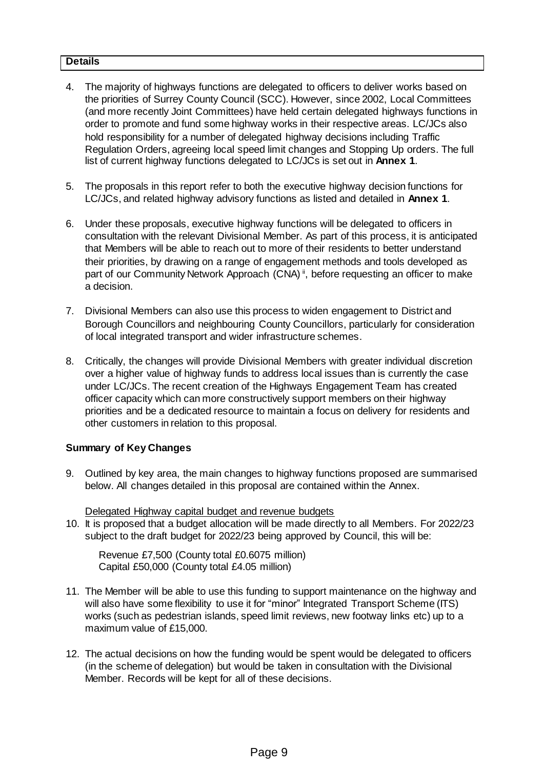## **Details**

- 4. The majority of highways functions are delegated to officers to deliver works based on the priorities of Surrey County Council (SCC). However, since 2002, Local Committees (and more recently Joint Committees) have held certain delegated highways functions in order to promote and fund some highway works in their respective areas. LC/JCs also hold responsibility for a number of delegated highway decisions including Traffic Regulation Orders, agreeing local speed limit changes and Stopping Up orders. The full list of current highway functions delegated to LC/JCs is set out in **Annex 1**.
- 5. The proposals in this report refer to both the executive highway decision functions for LC/JCs, and related highway advisory functions as listed and detailed in **Annex 1**.
- 6. Under these proposals, executive highway functions will be delegated to officers in consultation with the relevant Divisional Member. As part of this process, it is anticipated that Members will be able to reach out to more of their residents to better understand their priorities, by drawing on a range of engagement methods and tools developed as part of our Community Network Approach (CNA)<sup>ii</sup>, before requesting an officer to make a decision.
- 7. Divisional Members can also use this process to widen engagement to District and Borough Councillors and neighbouring County Councillors, particularly for consideration of local integrated transport and wider infrastructure schemes.
- 8. Critically, the changes will provide Divisional Members with greater individual discretion over a higher value of highway funds to address local issues than is currently the case under LC/JCs. The recent creation of the Highways Engagement Team has created officer capacity which can more constructively support members on their highway priorities and be a dedicated resource to maintain a focus on delivery for residents and other customers in relation to this proposal.

## **Summary of Key Changes**

9. Outlined by key area, the main changes to highway functions proposed are summarised below. All changes detailed in this proposal are contained within the Annex.

Delegated Highway capital budget and revenue budgets

10. It is proposed that a budget allocation will be made directly to all Members. For 2022/23 subject to the draft budget for 2022/23 being approved by Council, this will be:

Revenue £7,500 (County total £0.6075 million) Capital £50,000 (County total £4.05 million)

- 11. The Member will be able to use this funding to support maintenance on the highway and will also have some flexibility to use it for "minor" Integrated Transport Scheme (ITS) works (such as pedestrian islands, speed limit reviews, new footway links etc) up to a maximum value of £15,000.
- 12. The actual decisions on how the funding would be spent would be delegated to officers (in the scheme of delegation) but would be taken in consultation with the Divisional Member. Records will be kept for all of these decisions.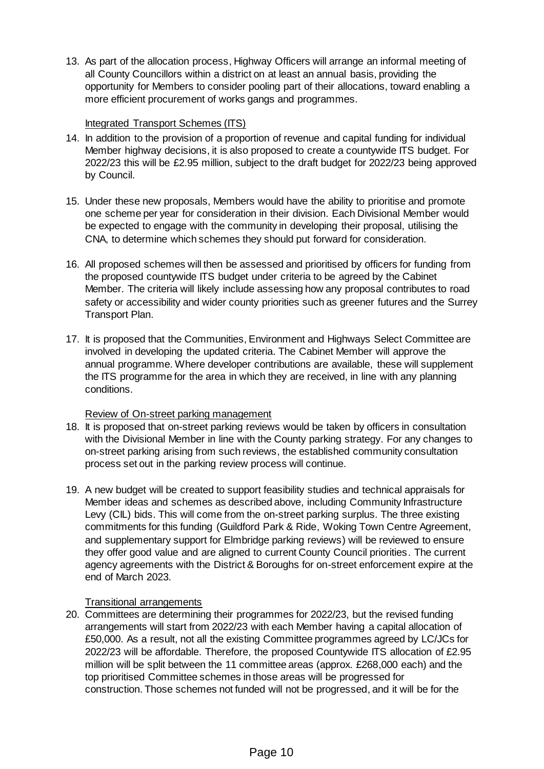13. As part of the allocation process, Highway Officers will arrange an informal meeting of all County Councillors within a district on at least an annual basis, providing the opportunity for Members to consider pooling part of their allocations, toward enabling a more efficient procurement of works gangs and programmes.

## Integrated Transport Schemes (ITS)

- 14. In addition to the provision of a proportion of revenue and capital funding for individual Member highway decisions, it is also proposed to create a countywide ITS budget. For 2022/23 this will be £2.95 million, subject to the draft budget for 2022/23 being approved by Council.
- 15. Under these new proposals, Members would have the ability to prioritise and promote one scheme per year for consideration in their division. Each Divisional Member would be expected to engage with the community in developing their proposal, utilising the CNA, to determine which schemes they should put forward for consideration.
- 16. All proposed schemes will then be assessed and prioritised by officers for funding from the proposed countywide ITS budget under criteria to be agreed by the Cabinet Member. The criteria will likely include assessing how any proposal contributes to road safety or accessibility and wider county priorities such as greener futures and the Surrey Transport Plan.
- 17. It is proposed that the Communities, Environment and Highways Select Committee are involved in developing the updated criteria. The Cabinet Member will approve the annual programme. Where developer contributions are available, these will supplement the ITS programme for the area in which they are received, in line with any planning conditions.

## Review of On-street parking management

- 18. It is proposed that on-street parking reviews would be taken by officers in consultation with the Divisional Member in line with the County parking strategy. For any changes to on-street parking arising from such reviews, the established community consultation process set out in the parking review process will continue.
- 19. A new budget will be created to support feasibility studies and technical appraisals for Member ideas and schemes as described above, including Community Infrastructure Levy (CIL) bids. This will come from the on-street parking surplus. The three existing commitments for this funding (Guildford Park & Ride, Woking Town Centre Agreement, and supplementary support for Elmbridge parking reviews) will be reviewed to ensure they offer good value and are aligned to current County Council priorities. The current agency agreements with the District & Boroughs for on-street enforcement expire at the end of March 2023.

## Transitional arrangements

20. Committees are determining their programmes for 2022/23, but the revised funding arrangements will start from 2022/23 with each Member having a capital allocation of £50,000. As a result, not all the existing Committee programmes agreed by LC/JCs for 2022/23 will be affordable. Therefore, the proposed Countywide ITS allocation of £2.95 million will be split between the 11 committee areas (approx. £268,000 each) and the top prioritised Committee schemes in those areas will be progressed for construction. Those schemes not funded will not be progressed, and it will be for the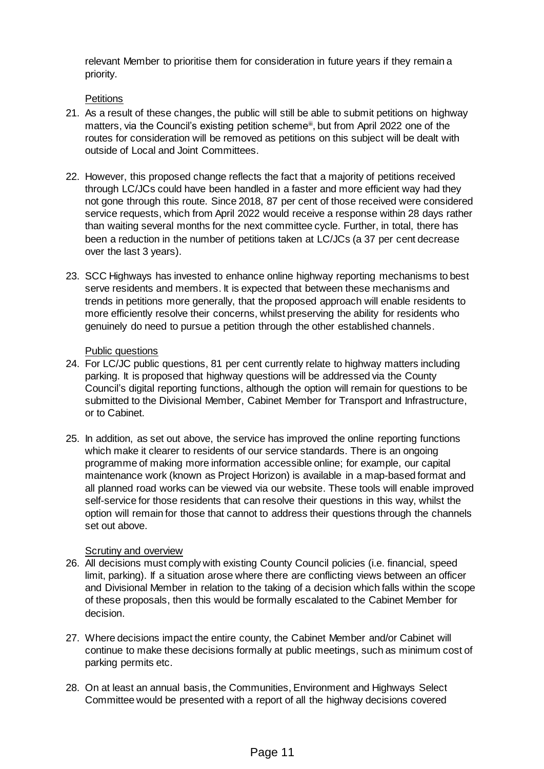relevant Member to prioritise them for consideration in future years if they remain a priority.

## **Petitions**

- 21. As a result of these changes, the public will still be able to submit petitions on highway matters, via the Council's existing petition scheme<sup>iii</sup>, but from April 2022 one of the routes for consideration will be removed as petitions on this subject will be dealt with outside of Local and Joint Committees.
- 22. However, this proposed change reflects the fact that a majority of petitions received through LC/JCs could have been handled in a faster and more efficient way had they not gone through this route. Since 2018, 87 per cent of those received were considered service requests, which from April 2022 would receive a response within 28 days rather than waiting several months for the next committee cycle. Further, in total, there has been a reduction in the number of petitions taken at LC/JCs (a 37 per cent decrease over the last 3 years).
- 23. SCC Highways has invested to enhance online highway reporting mechanisms to best serve residents and members. It is expected that between these mechanisms and trends in petitions more generally, that the proposed approach will enable residents to more efficiently resolve their concerns, whilst preserving the ability for residents who genuinely do need to pursue a petition through the other established channels.

## Public questions

- 24. For LC/JC public questions, 81 per cent currently relate to highway matters including parking. It is proposed that highway questions will be addressed via the County Council's digital reporting functions, although the option will remain for questions to be submitted to the Divisional Member, Cabinet Member for Transport and Infrastructure, or to Cabinet.
- 25. In addition, as set out above, the service has improved the online reporting functions which make it clearer to residents of our service standards. There is an ongoing programme of making more information accessible online; for example, our capital maintenance work (known as Project Horizon) is available in a map-based format and all planned road works can be viewed via our website. These tools will enable improved self-service for those residents that can resolve their questions in this way, whilst the option will remain for those that cannot to address their questions through the channels set out above.

# Scrutiny and overview

- 26. All decisions must comply with existing County Council policies (i.e. financial, speed limit, parking). If a situation arose where there are conflicting views between an officer and Divisional Member in relation to the taking of a decision which falls within the scope of these proposals, then this would be formally escalated to the Cabinet Member for decision.
- 27. Where decisions impact the entire county, the Cabinet Member and/or Cabinet will continue to make these decisions formally at public meetings, such as minimum cost of parking permits etc.
- 28. On at least an annual basis, the Communities, Environment and Highways Select Committee would be presented with a report of all the highway decisions covered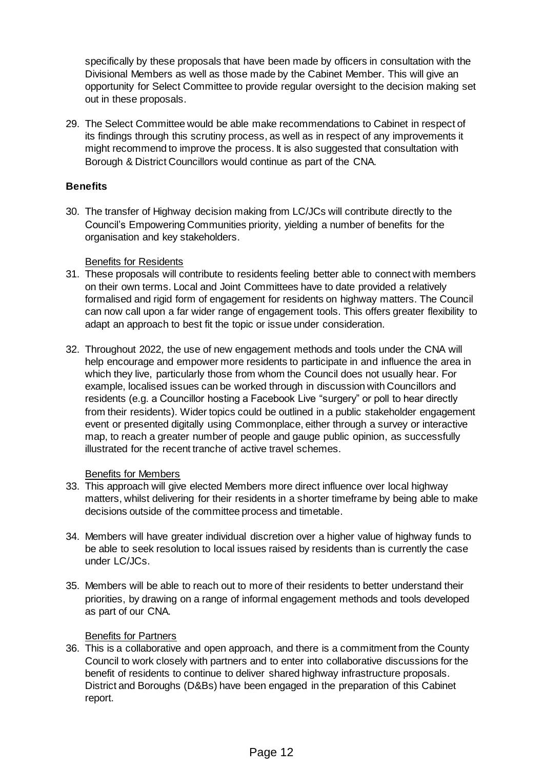specifically by these proposals that have been made by officers in consultation with the Divisional Members as well as those made by the Cabinet Member. This will give an opportunity for Select Committee to provide regular oversight to the decision making set out in these proposals.

29. The Select Committee would be able make recommendations to Cabinet in respect of its findings through this scrutiny process, as well as in respect of any improvements it might recommend to improve the process. It is also suggested that consultation with Borough & District Councillors would continue as part of the CNA.

# **Benefits**

30. The transfer of Highway decision making from LC/JCs will contribute directly to the Council's Empowering Communities priority, yielding a number of benefits for the organisation and key stakeholders.

## Benefits for Residents

- 31. These proposals will contribute to residents feeling better able to connect with members on their own terms. Local and Joint Committees have to date provided a relatively formalised and rigid form of engagement for residents on highway matters. The Council can now call upon a far wider range of engagement tools. This offers greater flexibility to adapt an approach to best fit the topic or issue under consideration.
- 32. Throughout 2022, the use of new engagement methods and tools under the CNA will help encourage and empower more residents to participate in and influence the area in which they live, particularly those from whom the Council does not usually hear. For example, localised issues can be worked through in discussion with Councillors and residents (e.g. a Councillor hosting a Facebook Live "surgery" or poll to hear directly from their residents). Wider topics could be outlined in a public stakeholder engagement event or presented digitally using Commonplace, either through a survey or interactive map, to reach a greater number of people and gauge public opinion, as successfully illustrated for the recent tranche of active travel schemes.

## Benefits for Members

- 33. This approach will give elected Members more direct influence over local highway matters, whilst delivering for their residents in a shorter timeframe by being able to make decisions outside of the committee process and timetable.
- 34. Members will have greater individual discretion over a higher value of highway funds to be able to seek resolution to local issues raised by residents than is currently the case under LC/JCs.
- 35. Members will be able to reach out to more of their residents to better understand their priorities, by drawing on a range of informal engagement methods and tools developed as part of our CNA.

# Benefits for Partners

36. This is a collaborative and open approach, and there is a commitment from the County Council to work closely with partners and to enter into collaborative discussions for the benefit of residents to continue to deliver shared highway infrastructure proposals. District and Boroughs (D&Bs) have been engaged in the preparation of this Cabinet report.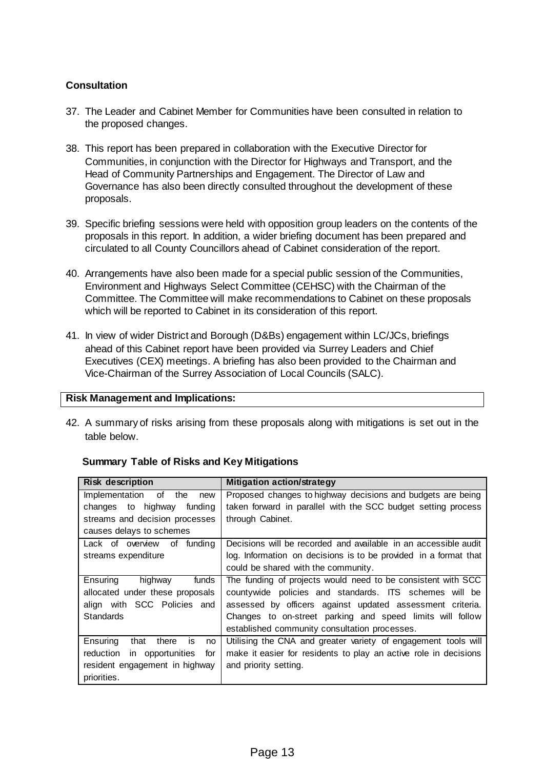# **Consultation**

- 37. The Leader and Cabinet Member for Communities have been consulted in relation to the proposed changes.
- 38. This report has been prepared in collaboration with the Executive Director for Communities, in conjunction with the Director for Highways and Transport, and the Head of Community Partnerships and Engagement. The Director of Law and Governance has also been directly consulted throughout the development of these proposals.
- 39. Specific briefing sessions were held with opposition group leaders on the contents of the proposals in this report. In addition, a wider briefing document has been prepared and circulated to all County Councillors ahead of Cabinet consideration of the report.
- 40. Arrangements have also been made for a special public session of the Communities, Environment and Highways Select Committee (CEHSC) with the Chairman of the Committee. The Committee will make recommendations to Cabinet on these proposals which will be reported to Cabinet in its consideration of this report.
- 41. In view of wider District and Borough (D&Bs) engagement within LC/JCs, briefings ahead of this Cabinet report have been provided via Surrey Leaders and Chief Executives (CEX) meetings. A briefing has also been provided to the Chairman and Vice-Chairman of the Surrey Association of Local Councils (SALC).

## **Risk Management and Implications:**

42. A summary of risks arising from these proposals along with mitigations is set out in the table below.

| <b>Risk description</b>                      | <b>Mitigation action/strategy</b>                                |
|----------------------------------------------|------------------------------------------------------------------|
| Implementation of the<br>new                 | Proposed changes to highway decisions and budgets are being      |
| changes to highway<br>funding                | taken forward in parallel with the SCC budget setting process    |
| streams and decision processes               | through Cabinet.                                                 |
| causes delays to schemes                     |                                                                  |
| Lack of overview of funding                  | Decisions will be recorded and available in an accessible audit  |
| streams expenditure                          | log. Information on decisions is to be provided in a format that |
|                                              | could be shared with the community.                              |
| Ensuring<br>funds<br>highway                 | The funding of projects would need to be consistent with SCC     |
| allocated under these proposals              | countywide policies and standards. ITS schemes will be           |
| align with SCC Policies and                  | assessed by officers against updated assessment criteria.        |
| <b>Standards</b>                             | Changes to on-street parking and speed limits will follow        |
|                                              | established community consultation processes.                    |
| Ensuring<br>there<br>that<br><b>is</b><br>no | Utilising the CNA and greater variety of engagement tools will   |
| reduction<br>in opportunities<br>for         | make it easier for residents to play an active role in decisions |
| resident engagement in highway               | and priority setting.                                            |
| priorities.                                  |                                                                  |

## **Summary Table of Risks and Key Mitigations**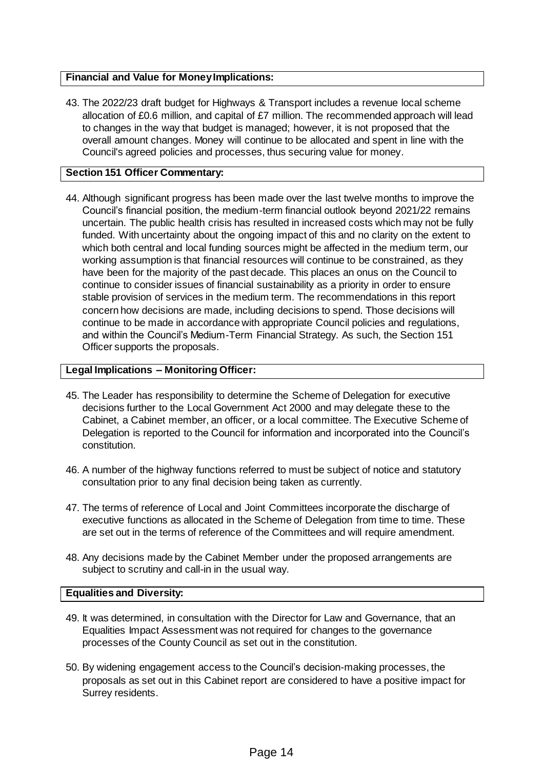## **Financial and Value for Money Implications:**

43. The 2022/23 draft budget for Highways & Transport includes a revenue local scheme allocation of £0.6 million, and capital of £7 million. The recommended approach will lead to changes in the way that budget is managed; however, it is not proposed that the overall amount changes. Money will continue to be allocated and spent in line with the Council's agreed policies and processes, thus securing value for money.

# **Section 151 Officer Commentary:**

44. Although significant progress has been made over the last twelve months to improve the Council's financial position, the medium-term financial outlook beyond 2021/22 remains uncertain. The public health crisis has resulted in increased costs which may not be fully funded. With uncertainty about the ongoing impact of this and no clarity on the extent to which both central and local funding sources might be affected in the medium term, our working assumption is that financial resources will continue to be constrained, as they have been for the majority of the past decade. This places an onus on the Council to continue to consider issues of financial sustainability as a priority in order to ensure stable provision of services in the medium term. The recommendations in this report concern how decisions are made, including decisions to spend. Those decisions will continue to be made in accordance with appropriate Council policies and regulations, and within the Council's Medium-Term Financial Strategy. As such, the Section 151 Officer supports the proposals.

## **Legal Implications – Monitoring Officer:**

- 45. The Leader has responsibility to determine the Scheme of Delegation for executive decisions further to the Local Government Act 2000 and may delegate these to the Cabinet, a Cabinet member, an officer, or a local committee. The Executive Scheme of Delegation is reported to the Council for information and incorporated into the Council's constitution.
- 46. A number of the highway functions referred to must be subject of notice and statutory consultation prior to any final decision being taken as currently.
- 47. The terms of reference of Local and Joint Committees incorporate the discharge of executive functions as allocated in the Scheme of Delegation from time to time. These are set out in the terms of reference of the Committees and will require amendment.
- 48. Any decisions made by the Cabinet Member under the proposed arrangements are subject to scrutiny and call-in in the usual way.

## **Equalities and Diversity:**

- 49. It was determined, in consultation with the Director for Law and Governance, that an Equalities Impact Assessment was not required for changes to the governance processes of the County Council as set out in the constitution.
- 50. By widening engagement access to the Council's decision-making processes, the proposals as set out in this Cabinet report are considered to have a positive impact for Surrey residents.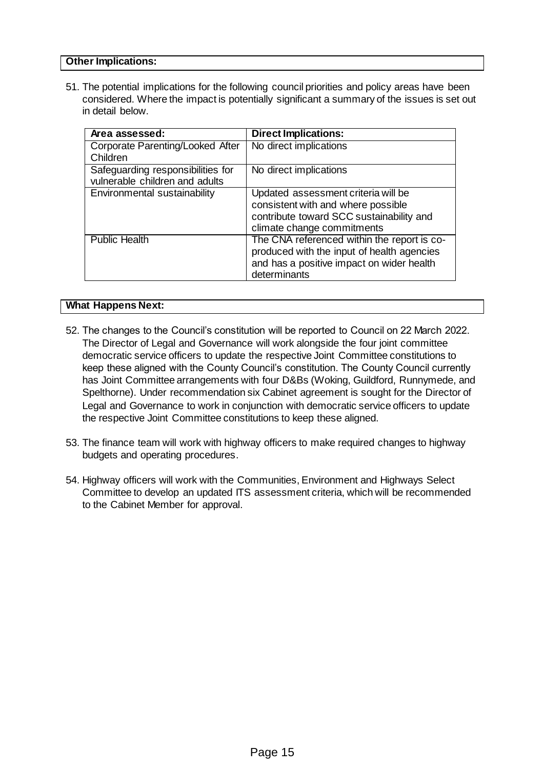## **Other Implications:**

51. The potential implications for the following council priorities and policy areas have been considered. Where the impact is potentially significant a summary of the issues is set out in detail below.

| Area assessed:                                                      | <b>Direct Implications:</b>                                                                                                                            |
|---------------------------------------------------------------------|--------------------------------------------------------------------------------------------------------------------------------------------------------|
| Corporate Parenting/Looked After                                    | No direct implications                                                                                                                                 |
| Children                                                            |                                                                                                                                                        |
| Safeguarding responsibilities for<br>vulnerable children and adults | No direct implications                                                                                                                                 |
| Environmental sustainability                                        | Updated assessment criteria will be<br>consistent with and where possible<br>contribute toward SCC sustainability and<br>climate change commitments    |
| <b>Public Health</b>                                                | The CNA referenced within the report is co-<br>produced with the input of health agencies<br>and has a positive impact on wider health<br>determinants |

#### **What Happens Next:**

- 52. The changes to the Council's constitution will be reported to Council on 22 March 2022. The Director of Legal and Governance will work alongside the four joint committee democratic service officers to update the respective Joint Committee constitutions to keep these aligned with the County Council's constitution. The County Council currently has Joint Committee arrangements with four D&Bs (Woking, Guildford, Runnymede, and Spelthorne). Under recommendation six Cabinet agreement is sought for the Director of Legal and Governance to work in conjunction with democratic service officers to update the respective Joint Committee constitutions to keep these aligned.
- 53. The finance team will work with highway officers to make required changes to highway budgets and operating procedures.
- 54. Highway officers will work with the Communities, Environment and Highways Select Committee to develop an updated ITS assessment criteria, which will be recommended to the Cabinet Member for approval.